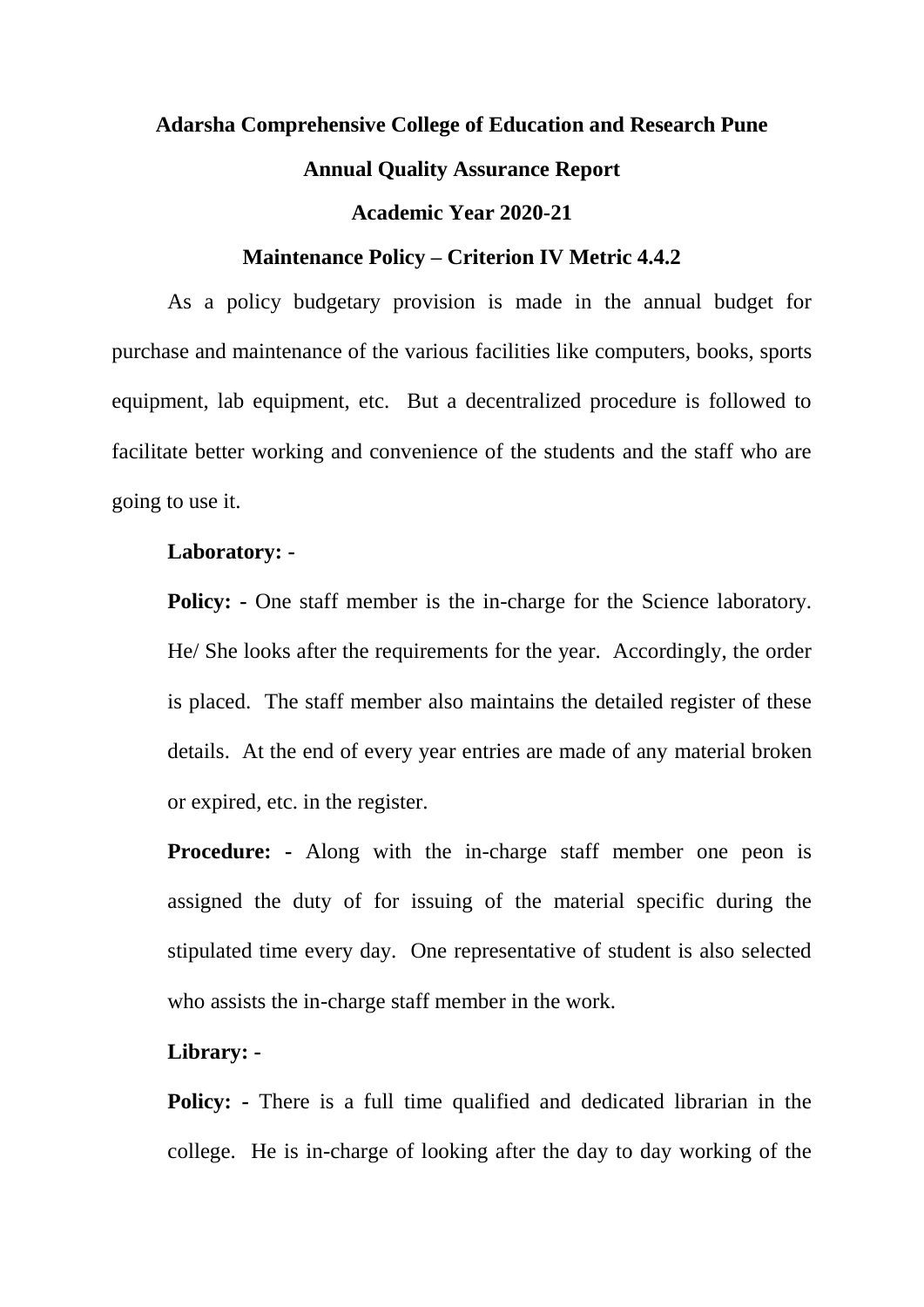# **Adarsha Comprehensive College of Education and Research Pune Annual Quality Assurance Report**

# **Academic Year 2020-21**

#### **Maintenance Policy – Criterion IV Metric 4.4.2**

As a policy budgetary provision is made in the annual budget for purchase and maintenance of the various facilities like computers, books, sports equipment, lab equipment, etc. But a decentralized procedure is followed to facilitate better working and convenience of the students and the staff who are going to use it.

# **Laboratory: -**

**Policy:** - One staff member is the in-charge for the Science laboratory. He/ She looks after the requirements for the year. Accordingly, the order is placed. The staff member also maintains the detailed register of these details. At the end of every year entries are made of any material broken or expired, etc. in the register.

**Procedure:** - Along with the in-charge staff member one peon is assigned the duty of for issuing of the material specific during the stipulated time every day. One representative of student is also selected who assists the in-charge staff member in the work.

# **Library: -**

**Policy: -** There is a full time qualified and dedicated librarian in the college. He is in-charge of looking after the day to day working of the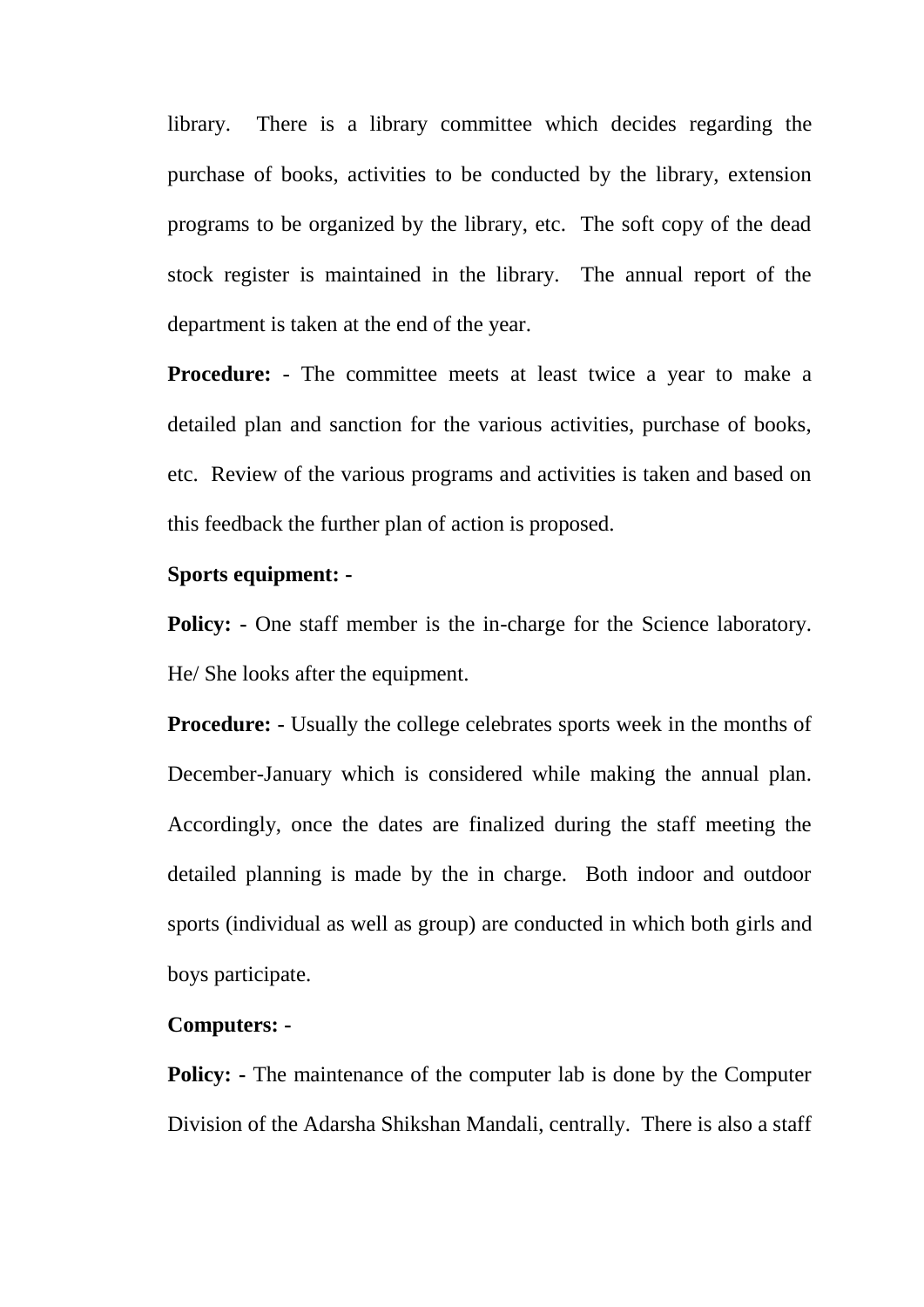library. There is a library committee which decides regarding the purchase of books, activities to be conducted by the library, extension programs to be organized by the library, etc. The soft copy of the dead stock register is maintained in the library. The annual report of the department is taken at the end of the year.

**Procedure:** - The committee meets at least twice a year to make a detailed plan and sanction for the various activities, purchase of books, etc. Review of the various programs and activities is taken and based on this feedback the further plan of action is proposed.

# **Sports equipment: -**

**Policy:** - One staff member is the in-charge for the Science laboratory. He/ She looks after the equipment.

**Procedure:** - Usually the college celebrates sports week in the months of December-January which is considered while making the annual plan. Accordingly, once the dates are finalized during the staff meeting the detailed planning is made by the in charge. Both indoor and outdoor sports (individual as well as group) are conducted in which both girls and boys participate.

#### **Computers: -**

**Policy:** - The maintenance of the computer lab is done by the Computer Division of the Adarsha Shikshan Mandali, centrally. There is also a staff